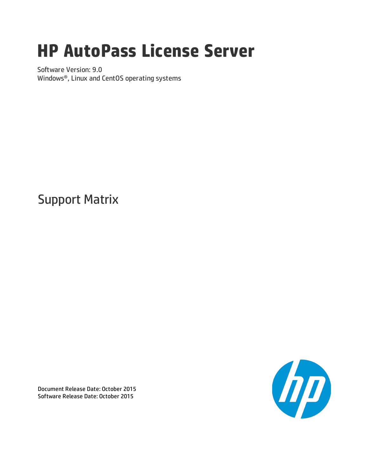# **HP AutoPass License Server**

Software Version: 9.0 Windows®, Linux and CentOS operating systems

Support Matrix



Document Release Date: October 2015 Software Release Date: October 2015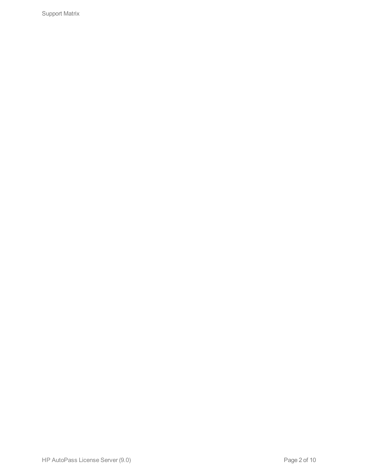Support Matrix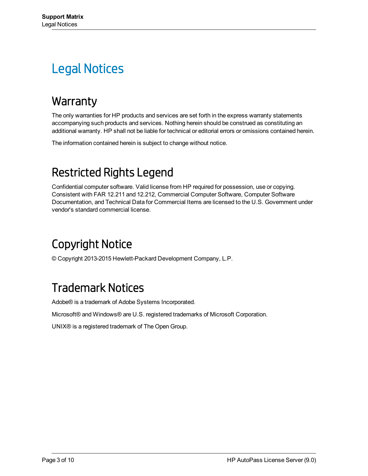## <span id="page-2-0"></span>Legal Notices

### **Warranty**

The only warranties for HP products and services are set forth in the express warranty statements accompanying such products and services. Nothing herein should be construed as constituting an additional warranty. HP shall not be liable for technical or editorial errors or omissions contained herein.

The information contained herein is subject to change without notice.

### Restricted Rights Legend

Confidential computer software. Valid license from HP required for possession, use or copying. Consistent with FAR 12.211 and 12.212, Commercial Computer Software, Computer Software Documentation, and Technical Data for Commercial Items are licensed to the U.S. Government under vendor's standard commercial license.

## <span id="page-2-1"></span>Copyright Notice

<span id="page-2-2"></span>© Copyright 2013-2015 Hewlett-Packard Development Company, L.P.

### Trademark Notices

Adobe® is a trademark of Adobe Systems Incorporated.

Microsoft® and Windows® are U.S. registered trademarks of Microsoft Corporation.

UNIX® is a registered trademark of The Open Group.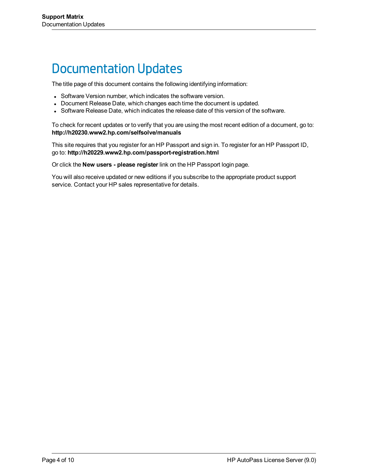## <span id="page-3-0"></span>Documentation Updates

The title page of this document contains the following identifying information:

- Software Version number, which indicates the software version.
- Document Release Date, which changes each time the document is updated.
- Software Release Date, which indicates the release date of this version of the software.

To check for recent updates or to verify that you are using the most recent edition of a document, go to: **http://h20230.www2.hp.com/selfsolve/manuals**

This site requires that you register for an HP Passport and sign in. To register for an HP Passport ID, go to: **http://h20229.www2.hp.com/passport-registration.html**

Or click the **New users - please register** link on the HP Passport login page.

You will also receive updated or new editions if you subscribe to the appropriate product support service. Contact your HP sales representative for details.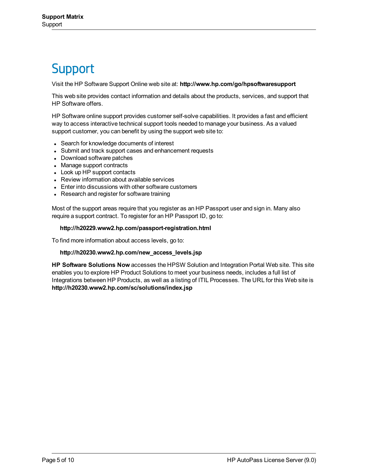## <span id="page-4-0"></span>**Support**

Visit the HP Software Support Online web site at: **http://www.hp.com/go/hpsoftwaresupport**

This web site provides contact information and details about the products, services, and support that HP Software offers.

HP Software online support provides customer self-solve capabilities. It provides a fast and efficient way to access interactive technical support tools needed to manage your business. As a valued support customer, you can benefit by using the support web site to:

- Search for knowledge documents of interest
- Submit and track support cases and enhancement requests
- Download software patches
- Manage support contracts
- Look up HP support contacts
- Review information about available services
- Enter into discussions with other software customers
- Research and register for software training

Most of the support areas require that you register as an HP Passport user and sign in. Many also require a support contract. To register for an HP Passport ID, go to:

#### **http://h20229.www2.hp.com/passport-registration.html**

To find more information about access levels, go to:

#### **http://h20230.www2.hp.com/new\_access\_levels.jsp**

**HP Software Solutions Now** accesses the HPSW Solution and Integration Portal Web site. This site enables you to explore HP Product Solutions to meet your business needs, includes a full list of Integrations between HP Products, as well as a listing of ITIL Processes. The URL for this Web site is **http://h20230.www2.hp.com/sc/solutions/index.jsp**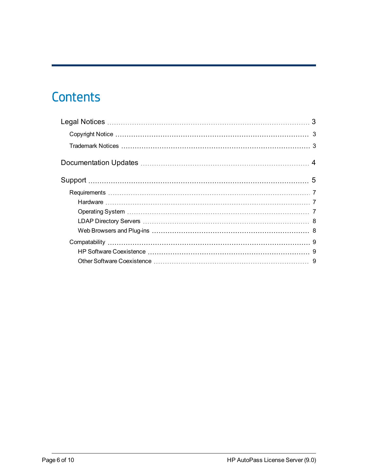## **Contents**

| 3 |
|---|
|   |
|   |
|   |
|   |
|   |
|   |
|   |
|   |
|   |
|   |
|   |
|   |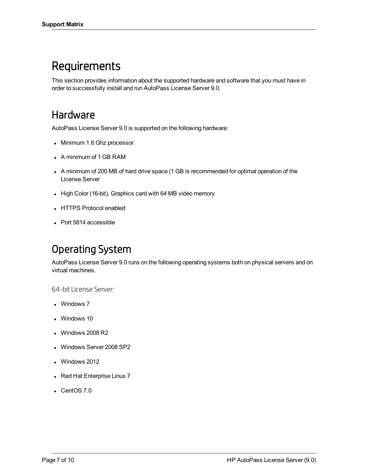#### <span id="page-6-0"></span>Requirements

This section provides information about the supported hardware and software that you must have in order to successfully install and run AutoPass License Server 9.0.

#### <span id="page-6-1"></span>Hardware

AutoPass License Server 9.0 is supported on the following hardware:

- Minimum 1.6 Ghz processor
- A minimum of 1 GB RAM
- A minimum of 200 MB of hard drive space (1 GB is recommended for optimal operation of the License Server
- High Color (16-bit), Graphics card with 64 MB video memory
- HTTPS Protocol enabled
- <span id="page-6-2"></span>• Port 5814 accessible

#### Operating System

AutoPass License Server 9.0 runs on the following operating systems both on physical servers and on virtual machines.

64-bit License Server:

- $\bullet$  Windows 7
- Windows 10
- $\bullet$  Windows 2008 R2
- Windows Server 2008 SP2
- $\bullet$  Windows 2012
- Red Hat Enterprise Linux 7
- $\cdot$  CentOS 7.0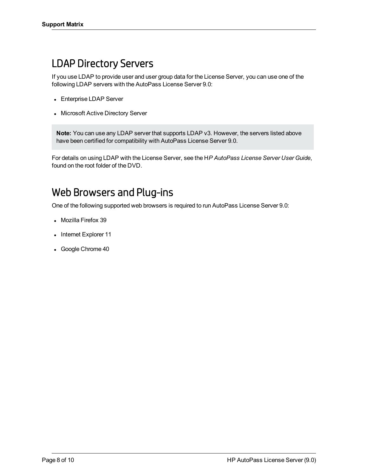#### <span id="page-7-0"></span>LDAP Directory Servers

If you use LDAP to provide user and user group data for the License Server, you can use one of the following LDAP servers with the AutoPass License Server 9.0:

- Enterprise LDAP Server
- Microsoft Active Directory Server

**Note:** You can use any LDAP server that supports LDAP v3. However, the servers listed above have been certified for compatibility with AutoPass License Server 9.0.

For details on using LDAP with the License Server, see the H*P AutoPass License Server User Guide*, found on the root folder of the DVD.

#### <span id="page-7-1"></span>Web Browsers and Plug-ins

One of the following supported web browsers is required to run AutoPass License Server 9.0:

- Mozilla Firefox 39
- Internet Explorer 11
- Google Chrome 40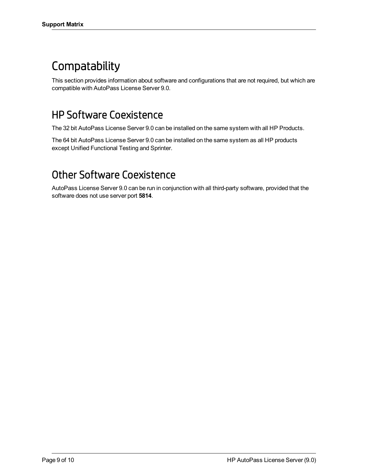## <span id="page-8-0"></span>**Compatability**

This section provides information about software and configurations that are not required, but which are compatible with AutoPass License Server 9.0.

#### <span id="page-8-1"></span>HP Software Coexistence

The 32 bit AutoPass License Server 9.0 can be installed on the same system with all HP Products.

The 64 bit AutoPass License Server 9.0 can be installed on the same system as all HP products except Unified Functional Testing and Sprinter.

#### <span id="page-8-2"></span>Other Software Coexistence

AutoPass License Server 9.0 can be run in conjunction with all third-party software, provided that the software does not use server port **5814**.